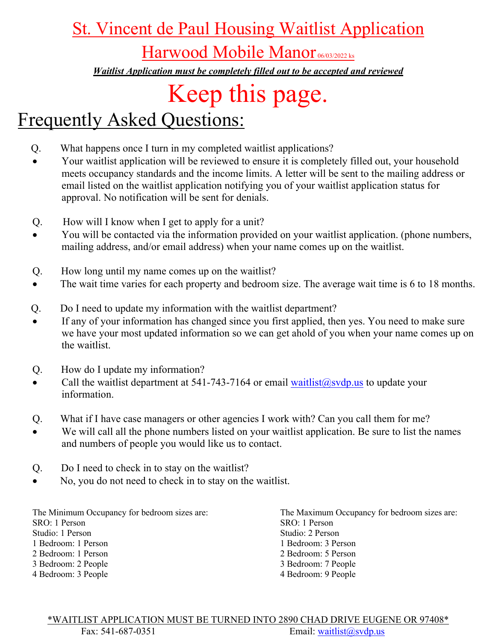#### Harwood Mobile Manor 06/03/2022 ks

*Waitlist Application must be completely filled out to be accepted and reviewed*

## Keep this page.

## Frequently Asked Questions:

- Q. What happens once I turn in my completed waitlist applications?
- Your waitlist application will be reviewed to ensure it is completely filled out, your household meets occupancy standards and the income limits. A letter will be sent to the mailing address or email listed on the waitlist application notifying you of your waitlist application status for approval. No notification will be sent for denials.
- Q. How will I know when I get to apply for a unit?
- You will be contacted via the information provided on your waitlist application. (phone numbers, mailing address, and/or email address) when your name comes up on the waitlist.
- Q. How long until my name comes up on the waitlist?
- The wait time varies for each property and bedroom size. The average wait time is 6 to 18 months.
- Q. Do I need to update my information with the waitlist department?
- If any of your information has changed since you first applied, then yes. You need to make sure we have your most updated information so we can get ahold of you when your name comes up on the waitlist.
- Q. How do I update my information?
- Call the waitlist department at 541-743-7164 or email waitlist@svdp.us to update your information.
- Q. What if I have case managers or other agencies I work with? Can you call them for me?
- We will call all the phone numbers listed on your waitlist application. Be sure to list the names and numbers of people you would like us to contact.
- Q. Do I need to check in to stay on the waitlist?
- No, you do not need to check in to stay on the waitlist.

SRO: 1 Person SRO: 1 Person Studio: 1 Person Studio: 2 Person Studio: 2 Person Studio: 2 Person Studio: 2 Person Studio: 2 Person Studio: 2 Person Studio: 2 Person Studio: 2 Person Studio: 2 Person Studio: 2 Person Studio: 2 Person Studio: 2 Person S 1 Bedroom: 1 Person 1 Bedroom: 3 Person 2 Bedroom: 1 Person 2 Bedroom: 5 Person 3 Bedroom: 2 People 3 Bedroom: 7 People 4 Bedroom: 3 People 4 Bedroom: 9 People

The Minimum Occupancy for bedroom sizes are: The Maximum Occupancy for bedroom sizes are: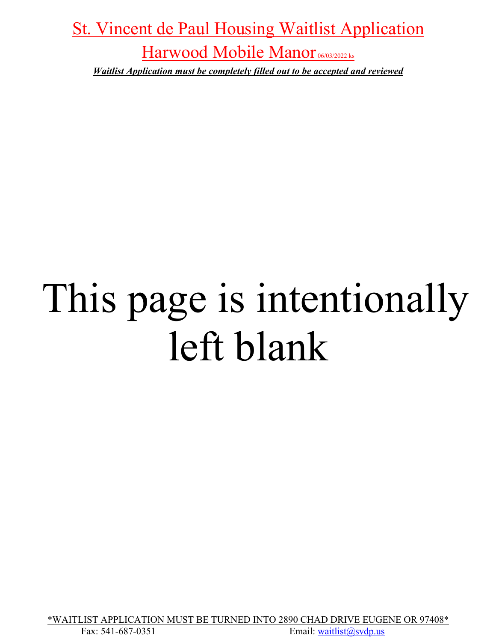Harwood Mobile Manor 06/03/2022 ks

*Waitlist Application must be completely filled out to be accepted and reviewed*

# This page is intentionally left blank

\*WAITLIST APPLICATION MUST BE TURNED INTO 2890 CHAD DRIVE EUGENE OR 97408\* Fax: 541-687-0351 Email: waitlist@svdp.us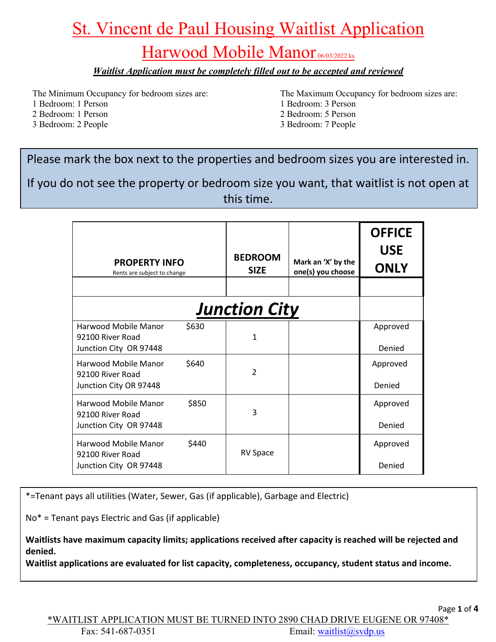Harwood Mobile Manor 06/03/2022 ks

*Waitlist Application must be completely filled out to be accepted and reviewed*

1 Bedroom: 1 Person 1 Bedroom: 3 Person 1 Bedroom: 3 Person 1 Bedroom: 3 Person 1 Bedroom: 3 Person 1 Bedroom: 3 Person 1 Bedroom: 3 Person 1 Bedroom: 3 Person 1 Bedroom: 3 Person 1 Bedroom: 3 Person 1 Bedroom: 3 Person 1 2 Bedroom: 1 Person 2 Bedroom: 5 Person 3 Bedroom: 2 People 3 Bedroom: 7 People

The Minimum Occupancy for bedroom sizes are: The Maximum Occupancy for bedroom sizes are:

Please mark the box next to the properties and bedroom sizes you are interested in.

If you do not see the property or bedroom size you want, that waitlist is not open at this time.

| <b>PROPERTY INFO</b><br>Rents are subject to change                |       | <b>BEDROOM</b><br><b>SIZE</b> | Mark an 'X' by the<br>one(s) you choose | <b>OFFICE</b><br><b>USE</b><br><b>ONLY</b> |
|--------------------------------------------------------------------|-------|-------------------------------|-----------------------------------------|--------------------------------------------|
|                                                                    |       |                               |                                         |                                            |
|                                                                    |       |                               |                                         |                                            |
| Harwood Mobile Manor<br>92100 River Road<br>Junction City OR 97448 | \$630 | 1                             |                                         | Approved<br>Denied                         |
| Harwood Mobile Manor<br>92100 River Road<br>Junction City OR 97448 | \$640 | $\overline{\mathbf{c}}$       |                                         | Approved<br>Denied                         |
| Harwood Mobile Manor<br>92100 River Road<br>Junction City OR 97448 | \$850 | 3                             |                                         | Approved<br>Denied                         |
| Harwood Mobile Manor<br>92100 River Road<br>Junction City OR 97448 | \$440 | <b>RV Space</b>               |                                         | Approved<br>Denied                         |

\*=Tenant pays all utilities (Water, Sewer, Gas (if applicable), Garbage and Electric)

No\* = Tenant pays Electric and Gas (if applicable)

**Waitlists have maximum capacity limits; applications received after capacity is reached will be rejected and denied.** 

**Waitlist applications are evaluated for list capacity, completeness, occupancy, student status and income.**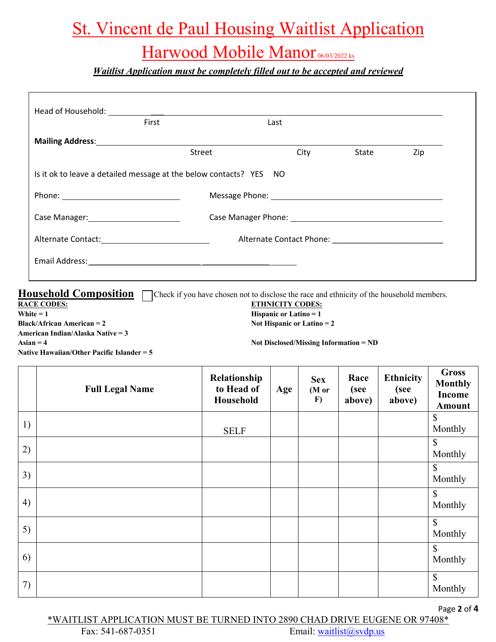#### Harwood Mobile Manor 06/03/2022 ks

#### *Waitlist Application must be completely filled out to be accepted and reviewed*

|    | Head of Household: Next Control of Household:                                                                                                                                                                                                                                                                 |       |                                         |                                                     |                                  |                                        |                             |                                                                  |
|----|---------------------------------------------------------------------------------------------------------------------------------------------------------------------------------------------------------------------------------------------------------------------------------------------------------------|-------|-----------------------------------------|-----------------------------------------------------|----------------------------------|----------------------------------------|-----------------------------|------------------------------------------------------------------|
|    |                                                                                                                                                                                                                                                                                                               | First |                                         | Last                                                |                                  |                                        |                             |                                                                  |
|    | Mailing Address:<br>Mailing Address:                                                                                                                                                                                                                                                                          |       |                                         |                                                     |                                  |                                        |                             |                                                                  |
|    |                                                                                                                                                                                                                                                                                                               |       | Street                                  |                                                     | City                             | State                                  | Zip                         |                                                                  |
|    | Is it ok to leave a detailed message at the below contacts? YES NO                                                                                                                                                                                                                                            |       |                                         |                                                     |                                  |                                        |                             |                                                                  |
|    |                                                                                                                                                                                                                                                                                                               |       |                                         |                                                     |                                  |                                        |                             |                                                                  |
|    | Case Manager: 1997                                                                                                                                                                                                                                                                                            |       |                                         |                                                     |                                  |                                        |                             |                                                                  |
|    |                                                                                                                                                                                                                                                                                                               |       |                                         |                                                     |                                  |                                        |                             |                                                                  |
|    |                                                                                                                                                                                                                                                                                                               |       |                                         |                                                     |                                  |                                        |                             |                                                                  |
|    | Household Composition <b>Composition</b> Check if you have chosen not to disclose the race and ethnicity of the household members.<br><b>RACE CODES:</b><br>White $= 1$<br><b>Black/African American = 2</b><br>American Indian/Alaska Native = 3<br>Asian $=4$<br>Native Hawaiian/Other Pacific Islander = 5 |       |                                         | <b>ETHNICITY CODES:</b><br>Hispanic or Latino $= 1$ | Not Hispanic or Latino $= 2$     | Not Disclosed/Missing Information = ND |                             |                                                                  |
|    | <b>Full Legal Name</b>                                                                                                                                                                                                                                                                                        |       | Relationship<br>to Head of<br>Household | Age                                                 | <b>Sex</b><br>(M or<br>$\bf{F})$ | Race<br>(see<br>above)                 | Ethnicity<br>(see<br>above) | <b>Gross</b><br><b>Monthly</b><br><b>Income</b><br><b>Amount</b> |
| 1) |                                                                                                                                                                                                                                                                                                               |       | <b>SELF</b>                             |                                                     |                                  |                                        |                             | $\mathbb{S}$<br>Monthly                                          |
| 2) |                                                                                                                                                                                                                                                                                                               |       |                                         |                                                     |                                  |                                        |                             | $\mathbf S$<br>Monthly                                           |
| 3) |                                                                                                                                                                                                                                                                                                               |       |                                         |                                                     |                                  |                                        |                             | $\mathbf S$<br>Monthly                                           |
| 4) |                                                                                                                                                                                                                                                                                                               |       |                                         |                                                     |                                  |                                        |                             | $\mathbb{S}$<br>Monthly                                          |
| 5) |                                                                                                                                                                                                                                                                                                               |       |                                         |                                                     |                                  |                                        |                             | $\mathbb{S}$                                                     |
|    |                                                                                                                                                                                                                                                                                                               |       |                                         |                                                     |                                  |                                        |                             | Monthly                                                          |
| 6) |                                                                                                                                                                                                                                                                                                               |       |                                         |                                                     |                                  |                                        |                             | $\mathbb{S}$<br>Monthly                                          |

Page **2** of **4**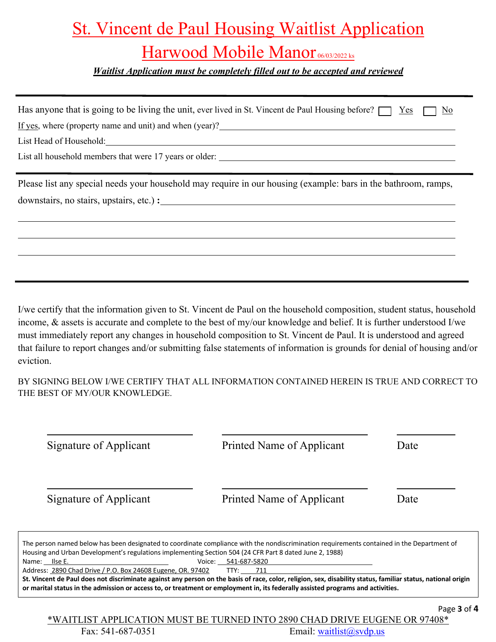#### Harwood Mobile Manor 06/03/2022 ks

*Waitlist Application must be completely filled out to be accepted and reviewed*

| Has anyone that is going to be living the unit, ever lived in St. Vincent de Paul Housing before? $\Box$ Yes<br>No<br>If yes, where (property name and unit) and when (year)?<br><u>If yes</u> , where (property name and unit) and when (year)? |
|--------------------------------------------------------------------------------------------------------------------------------------------------------------------------------------------------------------------------------------------------|
| List Head of Household: New York Channels and School Channels and School Channels and School Channels and School Channels and School Channels and School Channels and School Channels and School Channels and School Channels                    |
| Please list any special needs your household may require in our housing (example: bars in the bathroom, ramps,                                                                                                                                   |
|                                                                                                                                                                                                                                                  |

I/we certify that the information given to St. Vincent de Paul on the household composition, student status, household income, & assets is accurate and complete to the best of my/our knowledge and belief. It is further understood I/we must immediately report any changes in household composition to St. Vincent de Paul. It is understood and agreed that failure to report changes and/or submitting false statements of information is grounds for denial of housing and/or eviction.

BY SIGNING BELOW I/WE CERTIFY THAT ALL INFORMATION CONTAINED HEREIN IS TRUE AND CORRECT TO THE BEST OF MY/OUR KNOWLEDGE.

| Signature of Applicant                                                                                                                     |        | Printed Name of Applicant | Date |
|--------------------------------------------------------------------------------------------------------------------------------------------|--------|---------------------------|------|
| Signature of Applicant                                                                                                                     |        | Printed Name of Applicant | Date |
| The person named below has been designated to coordinate compliance with the nondiscrimination requirements contained in the Department of |        |                           |      |
| Housing and Urban Development's regulations implementing Section 504 (24 CFR Part 8 dated June 2, 1988)                                    | Voice: | 541-687-5820              |      |
|                                                                                                                                            |        |                           |      |
| Name: Ilse E.<br>Address: 2890 Chad Drive / P.O. Box 24608 Eugene, OR. 97402                                                               |        | TTY: 711                  |      |

Fax: 541-687-0351 Email: waitlist@svdp.us